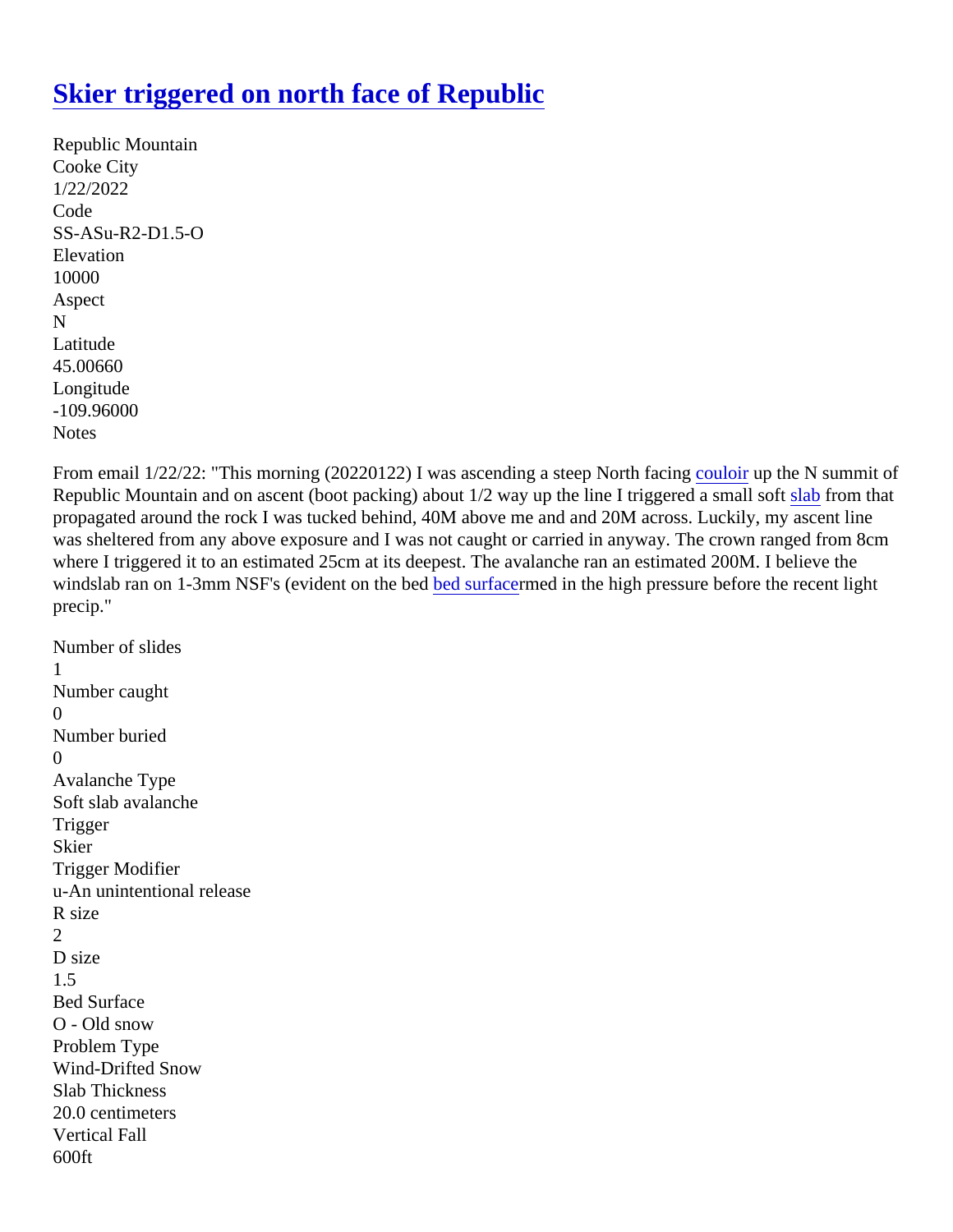## [Skier triggered on north face of Republic](https://www.mtavalanche.com/node/25595)

```
Republic Mountain
Cooke City
1/22/2022
Code
SS-ASu-R2-D1.5-O
Elevation
10000
Aspect
N
Latitude
45.00660
Longitude
-109.96000
Notes
```
From email 1/22/22: "This morning (20220122) I was ascending a steep Northdaulog up the N summit of Republic Mountain and on ascent (boot packing) about 1/2 way up the line I triggered a s[mall](https://www.mtavalanche.com/taxonomy/term/304) from that propagated around the rock I was tucked behind, 40M above me and and 20M across. Luckily, my ascent line was sheltered from any above exposure and I was not caught or carried in anyway. The crown ranged from 8 where I triggered it to an estimated 25cm at its deepest. The avalanche ran an estimated 200M. I believe the windslab ran on 1-3mm NSF's (evident on the bed surfacened in the high pressure before the recent light precip."

```
Number of slides
1
Number caught
\OmegaNumber buried
\OmegaAvalanche Type
Soft slab avalanche
Trigger
Skier
Trigger Modifier
u-An unintentional release
R size
2
D size
1.5
Bed Surface
O - Old snow
Problem Type
Wind-Drifted Snow
Slab Thickness
20.0 centimeters
Vertical Fall
600ft
```